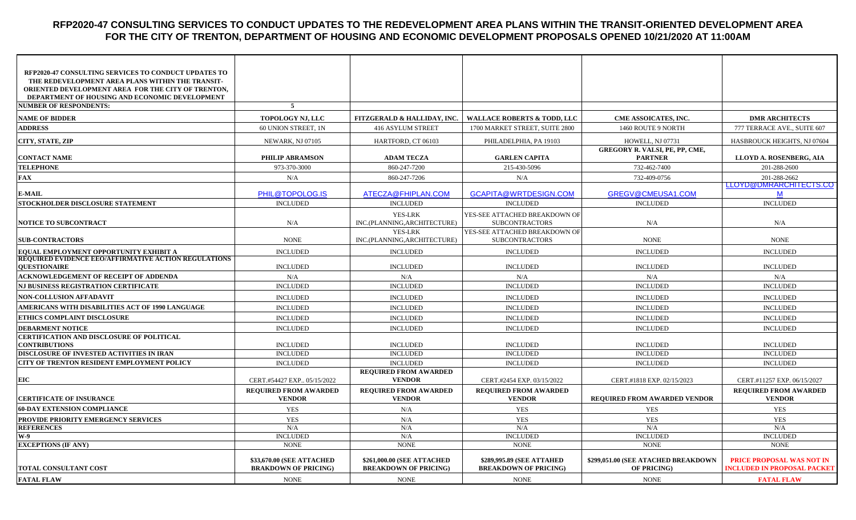#### **RFP2020-47 CONSULTING SERVICES TO CONDUCT UPDATES TO THE REDEVELOPMENT AREA PLANS WITHIN THE TRANSIT-ORIENTED DEVELOPMENT AREA FOR THE CITY OF TRENTON, DEPARTMENT OF HOUSING AND ECONOMIC DEVELOPMENT PROPOSALS OPENED 10/21/2020 AT 11:00AM**

| <b>RFP2020-47 CONSULTING SERVICES TO CONDUCT UPDATES TO</b><br>THE REDEVELOPMENT AREA PLANS WITHIN THE TRANSIT- |                                                          |                                                            |                                                           |                                                    |                                                                        |
|-----------------------------------------------------------------------------------------------------------------|----------------------------------------------------------|------------------------------------------------------------|-----------------------------------------------------------|----------------------------------------------------|------------------------------------------------------------------------|
| ORIENTED DEVELOPMENT AREA FOR THE CITY OF TRENTON,<br>DEPARTMENT OF HOUSING AND ECONOMIC DEVELOPMENT            |                                                          |                                                            |                                                           |                                                    |                                                                        |
| <b>NUMBER OF RESPONDENTS:</b>                                                                                   | 5                                                        |                                                            |                                                           |                                                    |                                                                        |
| <b>NAME OF BIDDER</b>                                                                                           | TOPOLOGY NJ, LLC                                         | FITZGERALD & HALLIDAY, INC.                                | <b>WALLACE ROBERTS &amp; TODD, LLC</b>                    | CME ASSOICATES, INC.                               | <b>DMR ARCHITECTS</b>                                                  |
| <b>ADDRESS</b>                                                                                                  | 60 UNION STREET, 1N                                      | 416 ASYLUM STREET                                          | 1700 MARKET STREET, SUITE 2800                            | 1460 ROUTE 9 NORTH                                 | 777 TERRACE AVE., SUITE 607                                            |
|                                                                                                                 |                                                          |                                                            |                                                           |                                                    |                                                                        |
| CITY, STATE, ZIP                                                                                                | NEWARK, NJ 07105                                         | HARTFORD, CT 06103                                         | PHILADELPHIA, PA 19103                                    | HOWELL, NJ 07731<br>GREGORY R. VALSI, PE, PP, CME, | HASBROUCK HEIGHTS, NJ 07604                                            |
| <b>CONTACT NAME</b>                                                                                             | PHILIP ABRAMSON                                          | <b>ADAM TECZA</b>                                          | <b>GARLEN CAPITA</b>                                      | <b>PARTNER</b>                                     | LLOYD A. ROSENBERG, AIA                                                |
| <b>TELEPHONE</b>                                                                                                | 973-370-3000                                             | 860-247-7200                                               | 215-430-5096                                              | 732-462-7400                                       | 201-288-2600                                                           |
| FAX                                                                                                             | N/A                                                      | 860-247-7206                                               | N/A                                                       | 732-409-0756                                       | 201-288-2662                                                           |
| <b>E-MAIL</b>                                                                                                   | PHIL@TOPOLOG.IS                                          | ATECZA@FHIPLAN.COM                                         | GCAPITA@WRTDESIGN.COM                                     | GREGV@CMEUSA1.COM                                  | LLOYD@DMRARCHITECTS.CO<br>M                                            |
| STOCKHOLDER DISCLOSURE STATEMENT                                                                                | <b>INCLUDED</b>                                          | <b>INCLUDED</b>                                            | <b>INCLUDED</b>                                           | <b>INCLUDED</b>                                    | <b>INCLUDED</b>                                                        |
| <b>NOTICE TO SUBCONTRACT</b>                                                                                    | N/A                                                      | YES-LRK<br>INC.(PLANNING, ARCHITECTURE)                    | YES-SEE ATTACHED BREAKDOWN OF<br><b>SUBCONTRACTORS</b>    | N/A                                                | N/A                                                                    |
| <b>SUB-CONTRACTORS</b>                                                                                          | <b>NONE</b>                                              | YES-LRK<br>INC.(PLANNING, ARCHITECTURE)                    | YES-SEE ATTACHED BREAKDOWN OF<br><b>SUBCONTRACTORS</b>    | <b>NONE</b>                                        | <b>NONE</b>                                                            |
| EQUAL EMPLOYMENT OPPORTUNITY EXHIBIT A                                                                          | <b>INCLUDED</b>                                          | <b>INCLUDED</b>                                            | <b>INCLUDED</b>                                           | <b>INCLUDED</b>                                    | <b>INCLUDED</b>                                                        |
| <b>REQUIRED EVIDENCE EEO/AFFIRMATIVE ACTION REGULATIONS</b><br><b>QUESTIONAIRE</b>                              | <b>INCLUDED</b>                                          | <b>INCLUDED</b>                                            | <b>INCLUDED</b>                                           | <b>INCLUDED</b>                                    | <b>INCLUDED</b>                                                        |
| <b>ACKNOWLEDGEMENT OF RECEIPT OF ADDENDA</b>                                                                    | N/A                                                      | N/A                                                        | N/A                                                       | N/A                                                | N/A                                                                    |
| NJ BUSINESS REGISTRATION CERTIFICATE                                                                            | <b>INCLUDED</b>                                          | <b>INCLUDED</b>                                            | <b>INCLUDED</b>                                           | <b>INCLUDED</b>                                    | <b>INCLUDED</b>                                                        |
| <b>NON-COLLUSION AFFADAVIT</b>                                                                                  | <b>INCLUDED</b>                                          | <b>INCLUDED</b>                                            | <b>INCLUDED</b>                                           | <b>INCLUDED</b>                                    | <b>INCLUDED</b>                                                        |
| AMERICANS WITH DISABILITIES ACT OF 1990 LANGUAGE                                                                | <b>INCLUDED</b>                                          | <b>INCLUDED</b>                                            | <b>INCLUDED</b>                                           | <b>INCLUDED</b>                                    | <b>INCLUDED</b>                                                        |
| ETHICS COMPLAINT DISCLOSURE                                                                                     | <b>INCLUDED</b>                                          | <b>INCLUDED</b>                                            | <b>INCLUDED</b>                                           | <b>INCLUDED</b>                                    | <b>INCLUDED</b>                                                        |
| <b>DEBARMENT NOTICE</b>                                                                                         | <b>INCLUDED</b>                                          | <b>INCLUDED</b>                                            | <b>INCLUDED</b>                                           | <b>INCLUDED</b>                                    | <b>INCLUDED</b>                                                        |
| <b>CERTIFICATION AND DISCLOSURE OF POLITICAL</b>                                                                |                                                          |                                                            |                                                           |                                                    |                                                                        |
| <b>CONTRIBUTIONS</b>                                                                                            | <b>INCLUDED</b>                                          | <b>INCLUDED</b>                                            | <b>INCLUDED</b>                                           | <b>INCLUDED</b>                                    | <b>INCLUDED</b>                                                        |
| DISCLOSURE OF INVESTED ACTIVITIES IN IRAN<br>CITY OF TRENTON RESIDENT EMPLOYMENT POLICY                         | <b>INCLUDED</b><br><b>INCLUDED</b>                       | <b>INCLUDED</b><br><b>INCLUDED</b>                         | <b>INCLUDED</b><br><b>INCLUDED</b>                        | <b>INCLUDED</b><br><b>INCLUDED</b>                 | <b>INCLUDED</b><br><b>INCLUDED</b>                                     |
|                                                                                                                 |                                                          | <b>REQUIRED FROM AWARDED</b>                               |                                                           |                                                    |                                                                        |
| EIC                                                                                                             | CERT.#54427 EXP., 05/15/2022                             | <b>VENDOR</b>                                              | CERT.#2454 EXP. 03/15/2022                                | CERT.#1818 EXP. 02/15/2023                         | CERT.#11257 EXP. 06/15/2027                                            |
| <b>CERTIFICATE OF INSURANCE</b>                                                                                 | <b>REQUIRED FROM AWARDED</b><br><b>VENDOR</b>            | <b>REQUIRED FROM AWARDED</b><br><b>VENDOR</b>              | <b>REQUIRED FROM AWARDED</b><br><b>VENDOR</b>             | <b>REQUIRED FROM AWARDED VENDOR</b>                | <b>REQUIRED FROM AWARDED</b><br><b>VENDOR</b>                          |
| <b>60-DAY EXTENSION COMPLIANCE</b>                                                                              | <b>YES</b>                                               | N/A                                                        | <b>YES</b>                                                | <b>YES</b>                                         | <b>YES</b>                                                             |
| PROVIDE PRIORITY EMERGENCY SERVICES                                                                             | <b>YES</b>                                               | N/A                                                        | <b>YES</b>                                                | <b>YES</b>                                         | <b>YES</b>                                                             |
| <b>REFERENCES</b>                                                                                               | N/A                                                      | N/A                                                        | N/A                                                       | N/A                                                | N/A                                                                    |
| <b>W-9</b>                                                                                                      | <b>INCLUDED</b>                                          | N/A                                                        | <b>INCLUDED</b>                                           | <b>INCLUDED</b>                                    | <b>INCLUDED</b>                                                        |
| <b>EXCEPTIONS (IF ANY)</b>                                                                                      | <b>NONE</b>                                              | <b>NONE</b>                                                | <b>NONE</b>                                               | <b>NONE</b>                                        | <b>NONE</b>                                                            |
| <b>TOTAL CONSULTANT COST</b>                                                                                    | \$33,670.00 (SEE ATTACHED<br><b>BRAKDOWN OF PRICING)</b> | \$261,000.00 (SEE ATTACHED<br><b>BREAKDOWN OF PRICING)</b> | \$289,995.89 (SEE ATTAHED<br><b>BREAKDOWN OF PRICING)</b> | \$299,051.00 (SEE ATACHED BREAKDOWN<br>OF PRICING) | <b>PRICE PROPOSAL WAS NOT IN</b><br><b>INCLUDED IN PROPOSAL PACKET</b> |
| <b>FATAL FLAW</b>                                                                                               | <b>NONE</b>                                              | <b>NONE</b>                                                | <b>NONE</b>                                               | <b>NONE</b>                                        | <b>FATAL FLAW</b>                                                      |
|                                                                                                                 |                                                          |                                                            |                                                           |                                                    |                                                                        |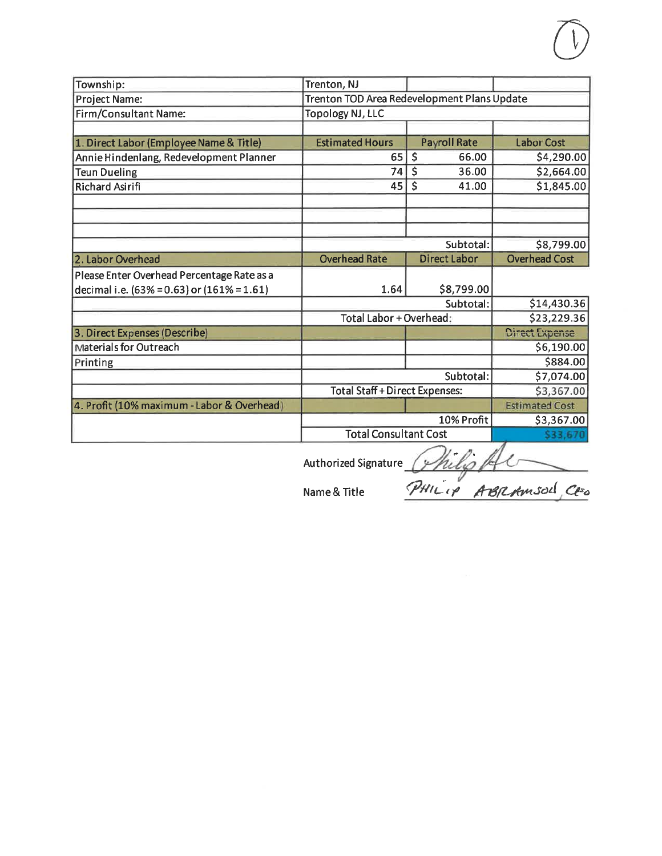| Township:                                        | Trenton, NJ                                 |                     |                       |
|--------------------------------------------------|---------------------------------------------|---------------------|-----------------------|
| Project Name:                                    | Trenton TOD Area Redevelopment Plans Update |                     |                       |
| Firm/Consultant Name:                            | <b>Topology NJ, LLC</b>                     |                     |                       |
|                                                  |                                             |                     |                       |
| 1. Direct Labor (Employee Name & Title)          | <b>Estimated Hours</b>                      | <b>Payroll Rate</b> | <b>Labor Cost</b>     |
| Annie Hindenlang, Redevelopment Planner          | 65                                          | $\zeta$<br>66.00    | \$4,290.00            |
| <b>Teun Dueling</b>                              | 74                                          | \$<br>36.00         | \$2,664.00            |
| <b>Richard Asirifi</b>                           | 45                                          | \$<br>41.00         | \$1,845.00            |
|                                                  |                                             |                     |                       |
|                                                  |                                             |                     |                       |
|                                                  |                                             |                     |                       |
|                                                  |                                             | Subtotal:           | \$8,799.00            |
| 2. Labor Overhead                                | <b>Overhead Rate</b>                        | <b>Direct Labor</b> | <b>Overhead Cost</b>  |
| Please Enter Overhead Percentage Rate as a       |                                             |                     |                       |
| decimal i.e. $(63\% = 0.63)$ or $(161\% = 1.61)$ | 1.64                                        | \$8,799.00          |                       |
|                                                  |                                             | Subtotal:           | \$14,430.36           |
|                                                  | Total Labor + Overhead:                     |                     | \$23,229.36           |
| 3. Direct Expenses (Describe)                    |                                             |                     | <b>Direct Expense</b> |
| <b>Materials for Outreach</b>                    |                                             |                     | \$6,190.00            |
| Printing                                         |                                             |                     | \$884.00              |
|                                                  |                                             | Subtotal:           | \$7,074.00            |
|                                                  | <b>Total Staff + Direct Expenses:</b>       |                     | \$3,367.00            |
| 4. Profit (10% maximum - Labor & Overhead)       |                                             |                     | <b>Estimated Cost</b> |
|                                                  |                                             | 10% Profit          | \$3,367.00            |
|                                                  | <b>Total Consultant Cost</b>                |                     | \$33.6                |
|                                                  |                                             | <b>CONTRACTOR</b>   |                       |

Authorized Signature *Philip Al*<br>Name & Title PHILIP ABRAMSOL CEO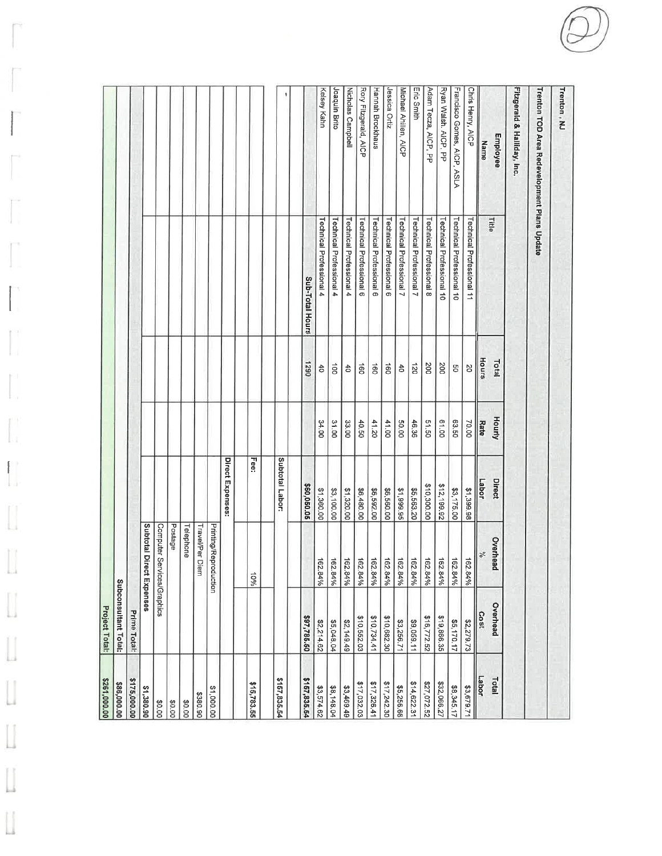| \$261,000.0  | Project Total:       |                                 |                           |        |                       |                                             |                                             |
|--------------|----------------------|---------------------------------|---------------------------|--------|-----------------------|---------------------------------------------|---------------------------------------------|
| \$86,000.00  | Subconsultant Total: |                                 |                           |        |                       |                                             |                                             |
| \$175,000.00 | Prime Total:         |                                 |                           |        |                       |                                             |                                             |
| \$1,380.90   |                      | Subtotal Di<br>rect Expenses    |                           |        |                       |                                             |                                             |
| <b>30.00</b> |                      | Computer Se<br>ervices/Graphics |                           |        |                       |                                             |                                             |
| 30.00        |                      | Postage                         |                           |        |                       |                                             |                                             |
| 00.04        |                      | Telephone                       |                           |        |                       |                                             |                                             |
| 3380.90      |                      | Travel/Per Diem                 |                           |        |                       |                                             |                                             |
| \$1,000.00   |                      | Printing/Reproduction           |                           |        |                       |                                             |                                             |
|              |                      |                                 | Direct Expenses:          |        |                       |                                             |                                             |
| \$15,783.55  |                      | $-10\%$                         | Fee:                      |        |                       |                                             |                                             |
| \$157,835.54 |                      |                                 | Subtotal Labor:           |        |                       |                                             |                                             |
| \$157,835.54 | \$97,785.50          |                                 |                           |        |                       |                                             |                                             |
| \$3,574.62   | \$2,214.62           | 162.84%                         | \$60,050.05<br>\$1,360.00 | 34.00  | 0621<br>$\frac{4}{5}$ | Technical Professional 4<br>Sub-Total Hours |                                             |
| \$8,148.04   | \$5,048.04           | 162.84%                         | \$3,100.00                | 31.00  | do                    | Technical Professional 4                    | Kelsey Kahn<br>Joaquin Brito                |
| \$3,469.49   | \$2,149.49           |                                 | \$1,320.00                | 33.00  | $\uparrow$            | Technical Professional 4                    | Nicholas Campbell                           |
| \$17,032.03  | \$10,552.03          | 162.84%                         | \$6,480.00                | 40.50  | g                     | Technical Professional 6                    | Rory Fitzgerald, AICP                       |
| \$17,326.41  | \$10,734.41          | 162.84%                         | \$6,592.00                | 41.20  | g                     | Technical Professional 6                    | Hannah Brockhaus                            |
| \$17,242.30  | \$10,682.30          | $\frac{162.84\%}{162.84\%}$     | \$6,560.00                | 41.00  | đ                     | Technical Professional 6                    | lessica Ortiz                               |
| \$5,256.6E   | \$3,256.71           | 162.84%                         | \$1,999.95                | 50.00  | $\frac{4}{5}$         | Technical Professional 7                    | Michael Ahillen, AICP                       |
| \$14,622.31  | \$9,059.11           | 162.84%                         | \$5,563.20                | 46.36  | 021                   | Technical Professional 7                    | Eric Smith                                  |
| \$27,072.52  | \$16,772.52          | 162.84%                         | \$10,300.00               | 51.50  | 200                   | Technical Professional 8                    | Adam Tecza, AICP, PP                        |
| \$32,066.27  | \$19,866.35          | 162.84%                         | \$12,199.92               | 61.00  | 200                   | Technical Professional 10                   | Ryan Walsh. AICP, PP                        |
| \$8,345.17   | \$5,170.17           | 162.84%                         | \$3,175.00                | 63.50  | SO                    | Technical Professional 10                   | Francisco Gomes, AICP, ASLA                 |
| \$3,679.71   | \$2,279.73           | 162.84%                         | 81,399.98                 | 70.00  | 20                    | Technical Professional 11                   | Chris Henry, AICP                           |
| Labor        | Cost                 | $\frac{9}{6}$                   | Labor                     | Rate   | Hours                 | Elte                                        | Name                                        |
| Total        | Overhead             | Overhead                        | Direct                    | Hourly | Total                 |                                             | Employee                                    |
|              |                      |                                 |                           |        |                       |                                             | Fitzgerald & Halliday, Inc.                 |
|              |                      |                                 |                           |        |                       |                                             | Trenton TOD Area Redevelopment Plans Update |
|              |                      |                                 |                           |        |                       |                                             | Trenton, NJ                                 |
|              |                      |                                 |                           |        |                       |                                             |                                             |

1

 $\mathbb{L}$ 

П T.

L

 $\begin{bmatrix} 1 \\ 1 \\ 0 \\ 0 \end{bmatrix}$ 

Ű

Ũ

 $\begin{bmatrix} 1 \\ 1 \end{bmatrix}$ 

U

 $\begin{array}{c} \hline \end{array}$ 

 $\begin{array}{c} \hline \end{array}$ 

IJ

 $\begin{bmatrix} \end{bmatrix}$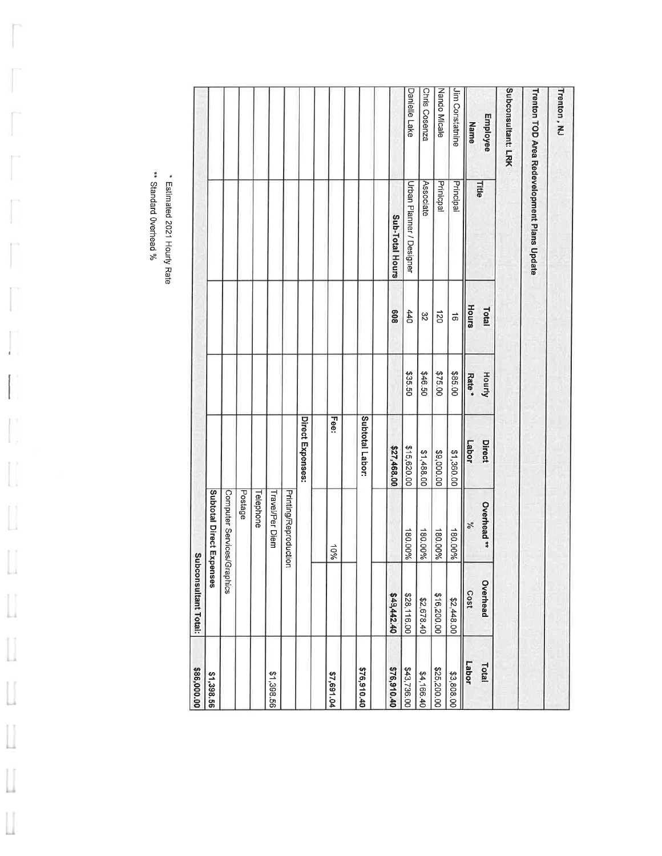| \$86,000.00 | Subconsultant Total: |                          |                  |         |           |                                             |                    |
|-------------|----------------------|--------------------------|------------------|---------|-----------|---------------------------------------------|--------------------|
| \$1,398.56  |                      | Subtotal Direct Expenses |                  |         |           |                                             |                    |
|             | raphics              | Computer Services/G      |                  |         |           |                                             |                    |
|             |                      | Postage                  |                  |         |           |                                             |                    |
|             |                      | Telephone                |                  |         |           |                                             |                    |
| \$1,398.56  |                      | Travel/Per Diem          |                  |         |           |                                             |                    |
|             |                      | Printing/Reproduction    |                  |         |           |                                             |                    |
|             |                      |                          | Direct Expenses: |         |           |                                             |                    |
| \$7,691.04  |                      | 10%                      | <b>Fee:</b>      |         |           |                                             |                    |
| \$76,910.40 |                      |                          | Subtotal Labor:  |         |           |                                             |                    |
|             |                      |                          |                  |         |           |                                             |                    |
| \$76,910.40 | \$49,442.40          |                          | \$27,468.00      |         | 809       | Sub-Total Hours                             |                    |
| \$43,736.00 | \$28,116.00          | 180.00%                  | \$15,620.00      | \$35.50 | 440       | Urban Planner / Designer                    | Danielle Lake      |
| \$4,166.40  | \$2,678.40           | 180.00%                  | \$1,488.00       | \$46.50 | 32        | Associate                                   | Chris Cosenza      |
| \$25,200.00 | \$16,200.00          | 180.00%                  | \$9,000.00       | \$75.00 | 021       | Prinicpal                                   | Nando Micale       |
| \$3,808.00  | \$2,448.00           | 180.00%                  | \$1,360.00       | \$85.00 | $\vec{a}$ | Principal                                   | Jim Constatnine    |
| Labor       | Cost                 | $\mathcal{N}_{0}$        | Labor            | $Rate*$ | Hours     |                                             | Name               |
| Total       | Overhead             | Overhead **              | Direct           | Hourly  | Total     | <b>Title</b>                                | Employee           |
|             |                      |                          |                  |         |           |                                             | Subconsultant: LRK |
|             |                      |                          |                  |         |           | Trenton TOD Area Redevelopment Plans Update |                    |
|             |                      |                          |                  |         |           |                                             | Trenton, NJ        |

\*\* Standard Overhead %

 $\overline{\phantom{a}}$ 

ľ,

 $\begin{bmatrix} 1 \\ 1 \\ 2 \end{bmatrix}$ 

 $\begin{array}{c} \hline \end{array}$ 

 $\begin{bmatrix} 1 \\ 2 \end{bmatrix}$ 

 $\begin{bmatrix} 1 \\ 1 \end{bmatrix}$ 

 $\begin{bmatrix} 1 \\ 1 \end{bmatrix}$ 

 $\begin{bmatrix} 1 \\ 1 \\ 2 \end{bmatrix}$ 

 $\begin{bmatrix} \phantom{-} \\ \phantom{-} \end{bmatrix}$ 

 $\begin{bmatrix} 1 \\ 0 \\ 0 \\ 0 \end{bmatrix}$ 

 $\mathop{\bigsqcup}$ 

\* Estimated 2021 Hourly Rate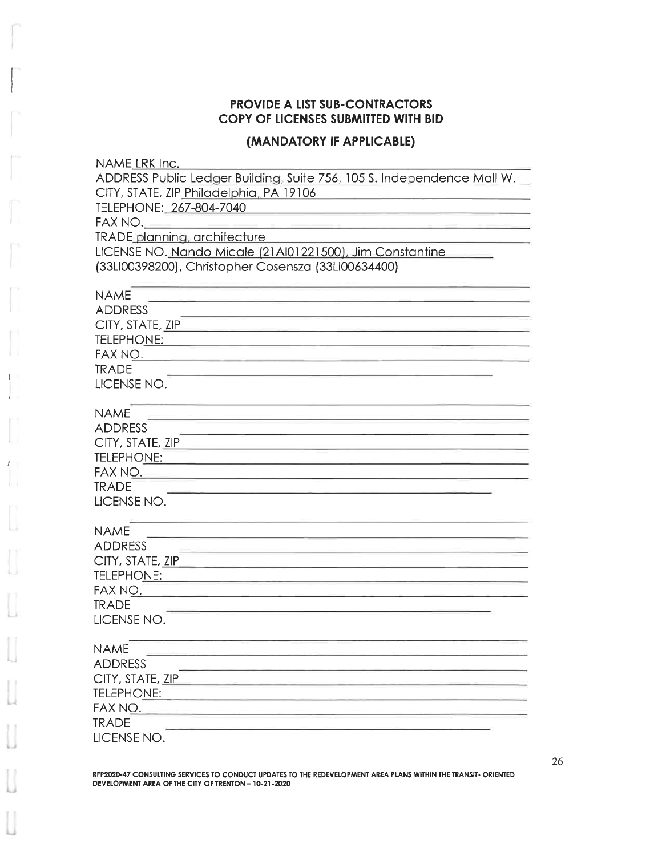#### **PROVIDE A LIST SUB-CONTRACTORS** COPY OF LICENSES SUBMITTED WITH BID

#### (MANDATORY IF APPLICABLE)

| NAME LRK Inc.                                                          |
|------------------------------------------------------------------------|
| ADDRESS Public Ledger Building, Suite 756, 105 S. Independence Mall W. |
| CITY, STATE, ZIP Philadelphia, PA 19106                                |
| TELEPHONE: 267-804-7040                                                |
| FAX NO.                                                                |
| <b>TRADE planning, architecture</b>                                    |
| LICENSE NO. Nando Micale (21Al01221500), Jim Constantine               |
| (33LI00398200), Christopher Cosensza (33LI00634400)                    |
| <b>NAME</b>                                                            |
| <b>ADDRESS</b>                                                         |
| CITY, STATE, ZIP                                                       |
| <b>TELEPHONE:</b>                                                      |
| FAX NO.                                                                |
| <b>TRADE</b>                                                           |
| LICENSE NO.                                                            |
| <b>NAME</b>                                                            |
| <b>ADDRESS</b>                                                         |
| CITY, STATE, ZIP                                                       |
| <b>TELEPHONE:</b>                                                      |
| FAX NO.                                                                |
| <b>TRADE</b>                                                           |
| LICENSE NO.                                                            |
| <b>NAME</b>                                                            |
| <b>ADDRESS</b>                                                         |
| CITY, STATE, ZIP                                                       |
| <b>TELEPHONE:</b>                                                      |
| FAX NO.                                                                |
| <b>TRADE</b>                                                           |
| LICENSE NO.                                                            |
| <b>NAME</b>                                                            |
| <b>ADDRESS</b>                                                         |
| CITY, STATE, ZIP                                                       |
| <b>TELEPHONE:</b>                                                      |
| FAX NO.                                                                |
| TRADE                                                                  |
| LICENSE NO.                                                            |

 $\mathbf{I}$ 

RFP2020-47 CONSULTING SERVICES TO CONDUCT UPDATES TO THE REDEVELOPMENT AREA PLANS WITHIN THE TRANSIT-ORIENTED DEVELOPMENT AREA OF THE CITY OF TRENTON - 10-21-2020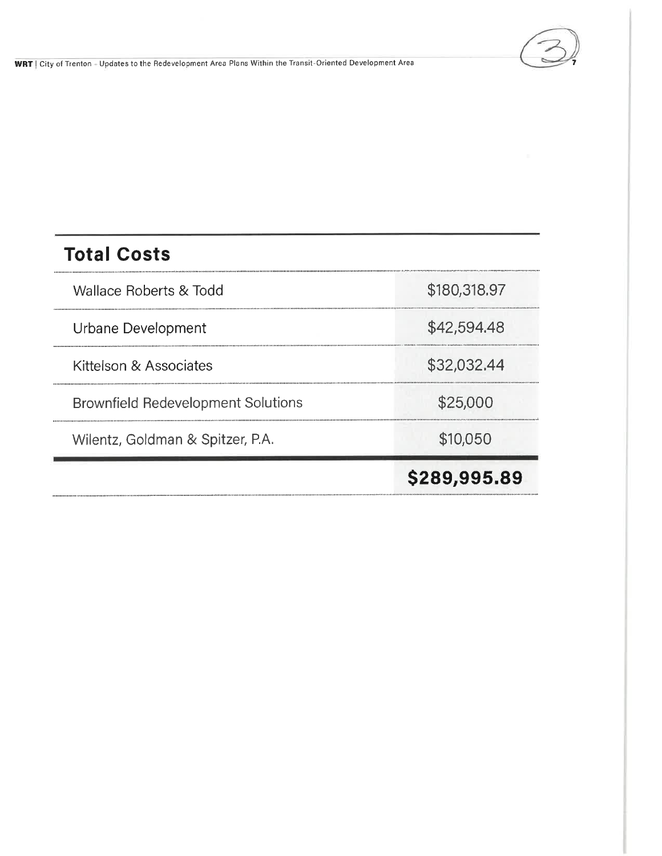

## **Total Costs**

Wallace Roberts & Todd

Urbane Development

Kittelson & Associates

**Brownfield Redevelopment Solutions** 

Wilentz, Goldman & Spitzer, P.A.

\$180,318.97

\$42,594.48

\$32,032.44

\$25,000

\$10,050

## \$289,995.89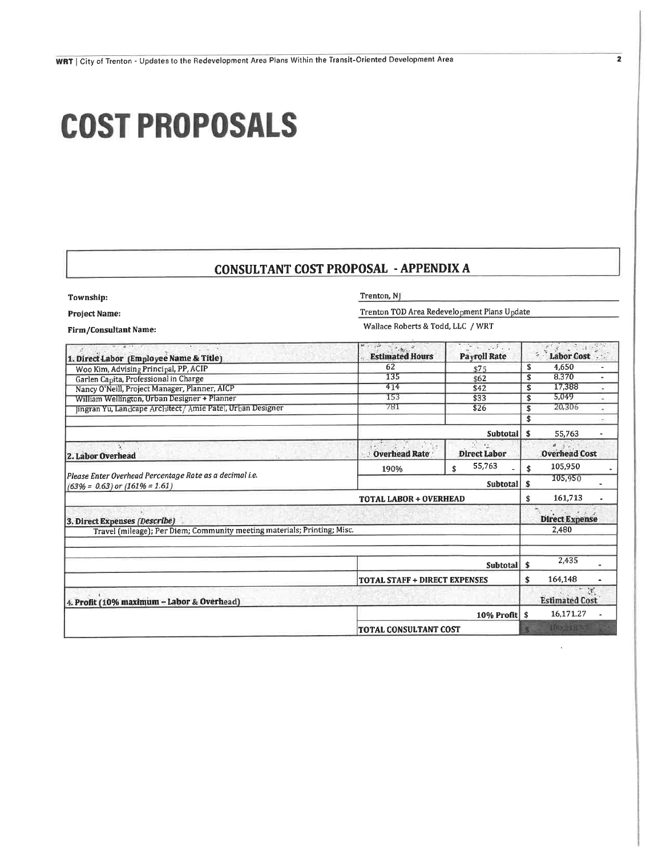# **COST PROPOSALS**

#### **CONSULTANT COST PROPOSAL - APPENDIX A**

Township: **Project Name:** 

Trenton, NJ

Trenton TOD Area Redevelopment Plans Update

Wallace Roberts & Todd, LLC / WRT

Firm/Consultant Name:

| 计自动控制 医阿尔德氏征 医骨下的<br>1. Direct Labor (Employee Name & Title)                                   | aşî:<br>$\overline{\mathcal{M}}_{\mathcal{B}_{\mathcal{A}}}$<br><b>Estimated Hours</b> | $\begin{bmatrix} \mathbf{v} & \mathbf{v} & \mathbf{v} & \mathbf{v} & \mathbf{v} & \mathbf{v} \\ \mathbf{v} & \mathbf{v} & \mathbf{v} & \mathbf{v} & \mathbf{v} & \mathbf{v} \end{bmatrix} \mathbf{v} = \mathbf{v} \begin{bmatrix} \mathbf{v} & \mathbf{v} & \mathbf{v} & \mathbf{v} \\ \mathbf{v} & \mathbf{v} & \mathbf{v} & \mathbf{v} \end{bmatrix} \mathbf{v} = \mathbf{v} \begin{bmatrix} \mathbf{v} & \mathbf{v} & \mathbf{v} & \mathbf{v$<br><b>Payroll Rate</b> | $3 - 3 - 3$<br><b>Labor Cost</b>                                        |
|------------------------------------------------------------------------------------------------|----------------------------------------------------------------------------------------|-------------------------------------------------------------------------------------------------------------------------------------------------------------------------------------------------------------------------------------------------------------------------------------------------------------------------------------------------------------------------------------------------------------------------------------------------------------------------|-------------------------------------------------------------------------|
| Woo Kim, Advising Principal, PP, ACIP                                                          | 62                                                                                     | \$75                                                                                                                                                                                                                                                                                                                                                                                                                                                                    | 4,650<br>\$                                                             |
| Garlen Capita, Professional in Charge                                                          | 135                                                                                    | \$62                                                                                                                                                                                                                                                                                                                                                                                                                                                                    | 8.370<br>\$<br>٠                                                        |
| Nancy O'Neill, Project Manager, Planner, AICP                                                  | 414                                                                                    | \$42                                                                                                                                                                                                                                                                                                                                                                                                                                                                    | 17.388<br>\$<br>¥.                                                      |
| William Wellington, Urban Designer + Planner                                                   | 153                                                                                    | \$33                                                                                                                                                                                                                                                                                                                                                                                                                                                                    | 5,049<br>\$                                                             |
| lingran Yu, Landcape Architect / Amie Patel, Urban Designer                                    | 781                                                                                    | \$26                                                                                                                                                                                                                                                                                                                                                                                                                                                                    | 20,306<br>\$                                                            |
|                                                                                                |                                                                                        |                                                                                                                                                                                                                                                                                                                                                                                                                                                                         | \$                                                                      |
|                                                                                                |                                                                                        | Subtotal                                                                                                                                                                                                                                                                                                                                                                                                                                                                | Ś<br>55,763                                                             |
| 2. Labor Overhead                                                                              | <b>Overhead Rate</b>                                                                   | <b>Direct Labor</b>                                                                                                                                                                                                                                                                                                                                                                                                                                                     | 4.4.<br><b>Overhead Cost</b>                                            |
|                                                                                                | 190%                                                                                   | 55,763<br>\$                                                                                                                                                                                                                                                                                                                                                                                                                                                            | 105,950<br>\$                                                           |
| Please Enter Overhead Percentage Rate as a decimal i.e.<br>$(63\% = 0.63)$ or $(161\% = 1.61)$ |                                                                                        | <b>Subtotal</b>                                                                                                                                                                                                                                                                                                                                                                                                                                                         | 105,950<br>\$                                                           |
|                                                                                                | <b>TOTAL LABOR + OVERHEAD</b>                                                          |                                                                                                                                                                                                                                                                                                                                                                                                                                                                         | 161,713<br>\$                                                           |
| 3. Direct Expenses (Describe)                                                                  |                                                                                        | ्र स्थान<br>स                                                                                                                                                                                                                                                                                                                                                                                                                                                           | <b>Direct Expense</b>                                                   |
| Travel (mileage); Per Diem; Community meeting materials; Printing; Misc.                       |                                                                                        |                                                                                                                                                                                                                                                                                                                                                                                                                                                                         | 2.480                                                                   |
|                                                                                                |                                                                                        |                                                                                                                                                                                                                                                                                                                                                                                                                                                                         |                                                                         |
|                                                                                                |                                                                                        | <b>Subtotal</b>                                                                                                                                                                                                                                                                                                                                                                                                                                                         | 2,435<br>s                                                              |
|                                                                                                | <b>TOTAL STAFF + DIRECT EXPENSES</b>                                                   |                                                                                                                                                                                                                                                                                                                                                                                                                                                                         | 164,148<br>\$                                                           |
| 4. Profit (10% maximum - Labor & Overhead)                                                     |                                                                                        |                                                                                                                                                                                                                                                                                                                                                                                                                                                                         | $\begin{pmatrix} 1 & 1 \\ 1 & 1 \end{pmatrix}$<br><b>Estimated Cost</b> |
|                                                                                                |                                                                                        | $10\%$ Profit $\frac{1}{2}$                                                                                                                                                                                                                                                                                                                                                                                                                                             | 16,171.27                                                               |
|                                                                                                | <b>TOTAL CONSULTANT COST</b>                                                           |                                                                                                                                                                                                                                                                                                                                                                                                                                                                         | 190,318 %                                                               |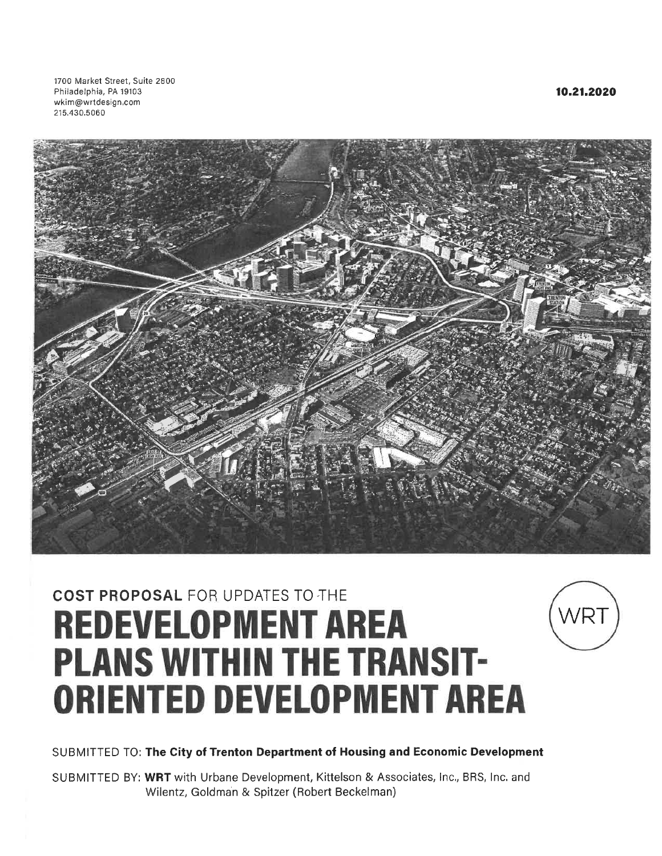1700 Market Street, Suite 2800 Philadelphia, PA 19103 wkim@wrtdesign.com 215.430.5060



## **COST PROPOSAL FOR UPDATES TO THE REDEVELOPMENT AREA PLANS WITHIN THE TRANSIT-ORIENTED DEVELOPMENT AREA**



SUBMITTED BY: WRT with Urbane Development, Kittelson & Associates, Inc., BRS, Inc. and Wilentz, Goldman & Spitzer (Robert Beckelman)

10.21.2020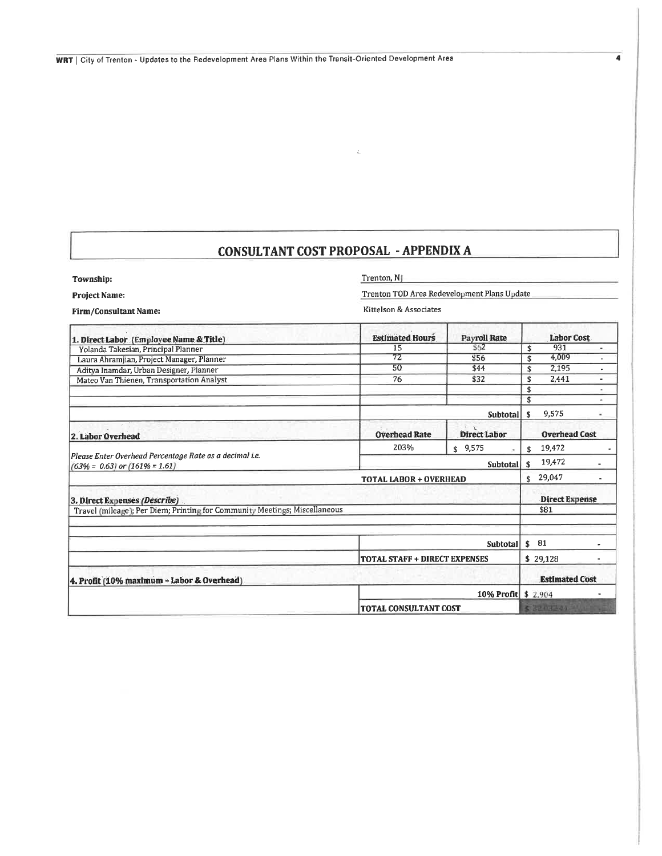$\sim 2.1$ 

 $\overline{\mathbf{4}}$ 

| Township:                                                                                      | Trenton, NJ<br>Trenton TOD Area Redevelopment Plans Update |                     |                             |
|------------------------------------------------------------------------------------------------|------------------------------------------------------------|---------------------|-----------------------------|
| <b>Project Name:</b>                                                                           |                                                            |                     |                             |
| <b>Firm/Consultant Name:</b>                                                                   | Kittelson & Associates                                     |                     |                             |
| 1. Direct Labor (Employee Name & Title)                                                        | <b>Estimated Hours</b>                                     | <b>Payroll Rate</b> | <b>Labor Cost</b>           |
| Yolanda Takesian, Principal Planner                                                            | 15                                                         | \$62                | 931<br>\$<br>٠              |
| Laura Ahramjian, Project Manager, Planner                                                      | $\overline{72}$                                            | \$56                | 4.009<br>$\hat{\mathbf{s}}$ |
| Aditva Inamdar, Urban Designer, Planner                                                        | 50                                                         | \$44                | 2,195<br>\$                 |
| Mateo Van Thienen, Transportation Analyst                                                      | 76                                                         | \$32                | 2.441<br>\$<br>٠            |
|                                                                                                |                                                            |                     | \$                          |
|                                                                                                |                                                            |                     | \$<br>٠                     |
|                                                                                                |                                                            | Subtotal \$         | 9,575<br>۷                  |
| 2. Labor Overhead                                                                              | <b>Overhead Rate</b>                                       | <b>Direct Labor</b> | <b>Overhead Cost</b>        |
|                                                                                                | 203%                                                       | \$9,575             | 19,472<br>\$                |
| Please Enter Overhead Percentage Rate as a decimal i.e.<br>$(63\% = 0.63)$ or $(161\% = 1.61)$ |                                                            | <b>Subtotal</b>     | 19,472<br><sup>\$</sup>     |
|                                                                                                | <b>TOTAL LABOR + OVERHEAD</b>                              | 29,047<br>\$        |                             |
| 3. Direct Expenses (Describe)                                                                  |                                                            |                     | <b>Direct Expense</b>       |
| Travel (mileage); Per Diem; Printing for Community Meetings; Miscellaneous                     |                                                            |                     | \$81                        |
|                                                                                                |                                                            |                     |                             |
|                                                                                                |                                                            | <b>Subtotal</b>     | - 81<br>Ŝ.                  |
|                                                                                                | <b>TOTAL STAFF + DIRECT EXPENSES</b>                       |                     | \$29,128<br>۰.              |
| 4. Profit (10% maximum - Labor & Overhead)                                                     |                                                            |                     | <b>Estimated Cost</b>       |
|                                                                                                |                                                            | 10% Profit \$2,904  |                             |
|                                                                                                | <b>TOTAL CONSULTANT COST</b>                               |                     | \$32.032.40                 |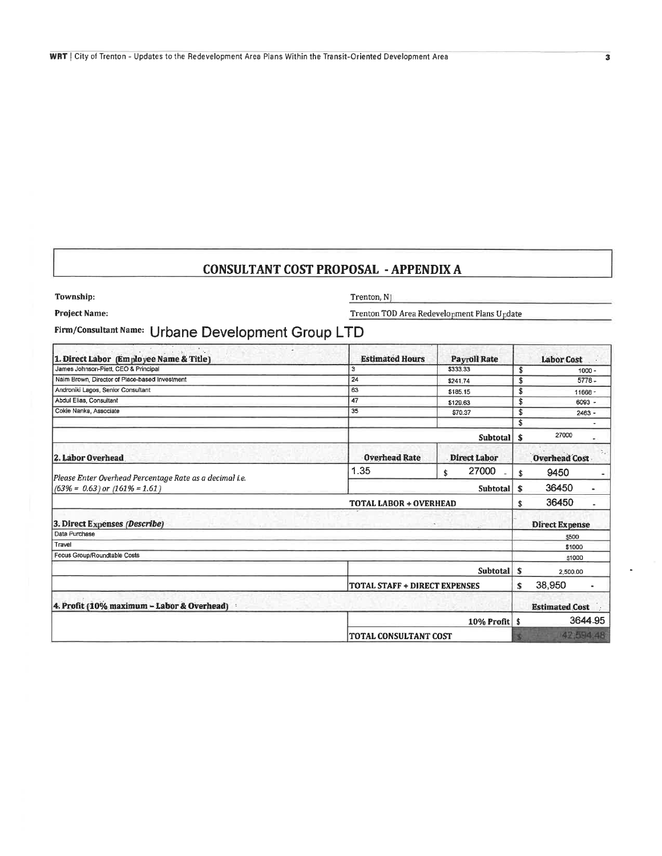| Township: |  |
|-----------|--|
|           |  |

Project Name:

Trenton, NJ

Trenton TOD Area Redevelopment Plans Update

Firm/Consultant Name: Urbane Development Group LTD

| 1. Direct Labor (Employee Name & Title)                 | <b>Estimated Hours</b>               | <b>Payroll Rate</b>         |     | <b>Labor Cost</b>       |
|---------------------------------------------------------|--------------------------------------|-----------------------------|-----|-------------------------|
| James Johnson-Piett, CEO & Principal                    | 3                                    | \$333.33                    | \$  | $1000 -$                |
| Naim Brown, Director of Place-based Investment          | 24                                   | \$241.74                    | \$  | $5778 -$                |
| Androniki Lagos, Senior Consultant                      | 63                                   | \$185.15                    | \$  | 11666-                  |
| Abdul Elias, Consultant                                 | 47                                   | \$129.63                    | \$  | $6093 -$                |
| Cokie Nanka, Associate                                  | 35                                   | \$70.37                     | Ś   | $2463 -$                |
|                                                         |                                      |                             | \$  |                         |
|                                                         |                                      | <b>Subtotal</b>             | -\$ | 27000                   |
| 2. Labor Overhead                                       | <b>Overhead Rate</b>                 | <b>Direct Labor</b>         |     | <b>Overhead Cost</b>    |
| Please Enter Overhead Percentage Rate as a decimal i.e. | 1.35                                 | 27000<br>\$                 | \$  | 9450                    |
| $(63\% = 0.63)$ or $(161\% = 1.61)$                     |                                      | Subtotal                    | \$  | 36450<br>$\blacksquare$ |
|                                                         | <b>TOTAL LABOR + OVERHEAD</b>        |                             | \$  | 36450                   |
| 3. Direct Expenses (Describe)                           |                                      |                             |     | <b>Direct Expense</b>   |
| Data Purchase                                           |                                      |                             |     | \$500                   |
| Travel                                                  |                                      |                             |     | \$1000                  |
| Focus Group/Roundtable Costs                            |                                      |                             |     | \$1000                  |
|                                                         |                                      | Subtotal                    | -S  | 2,500.00                |
|                                                         | <b>TOTAL STAFF + DIRECT EXPENSES</b> |                             | \$  | 38,950                  |
| 4. Profit (10% maximum - Labor & Overhead)              |                                      |                             |     | <b>Estimated Cost</b>   |
|                                                         |                                      | $10\%$ Profit $\frac{1}{3}$ |     | 3644-95                 |
|                                                         | TOTAL CONSULTANT COST                |                             |     | 42,594.48               |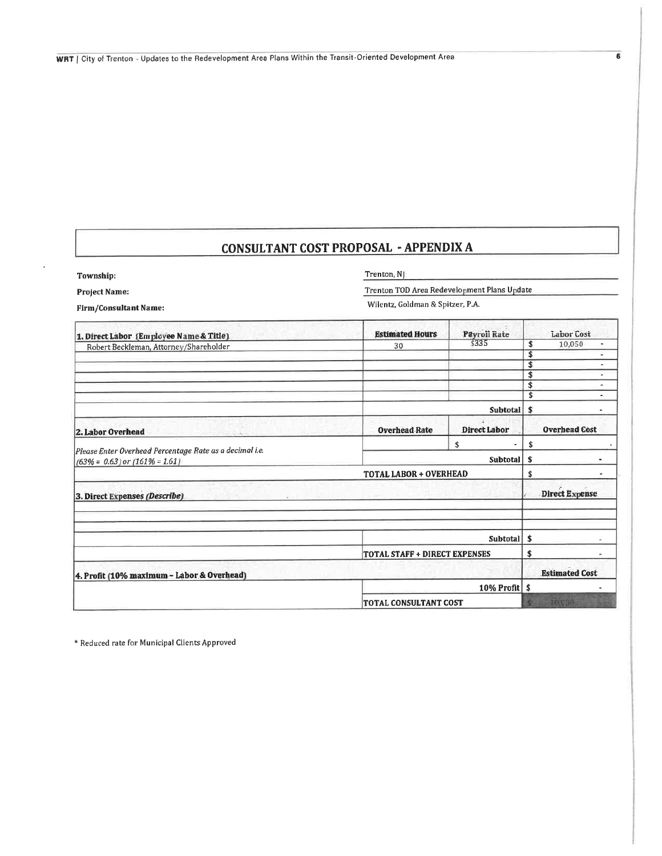| Township: |  |
|-----------|--|

J.

Trenton, NJ

Project Name:

Trenton TOD Area Redevelopment Plans Update Wilentz, Goldman & Spitzer, P.A.

Firm/Consultant Name:

| 1. Direct Labor (Employee Name & Title).                                                       | <b>Estimated Hours</b>        | <b>Payroll Rate</b> | <b>Labor Cost</b>     |
|------------------------------------------------------------------------------------------------|-------------------------------|---------------------|-----------------------|
| Robert Beckleman, Attorney/Shareholder                                                         | 30                            | \$335               | 10,050<br>\$<br>۰     |
|                                                                                                |                               |                     | \$<br>۰               |
|                                                                                                |                               |                     | \$<br>٠               |
|                                                                                                |                               |                     | \$<br>۰               |
|                                                                                                |                               |                     | \$<br>٠               |
|                                                                                                |                               |                     | \$<br>$\blacksquare$  |
|                                                                                                |                               | Subtotal            | \$                    |
| 2. Labor Overhead                                                                              | <b>Overhead Rate</b>          | <b>Direct Labor</b> | <b>Overhead Cost</b>  |
|                                                                                                |                               | \$                  | \$                    |
| Please Enter Overhead Percentage Rate as a decimal i.e.<br>$(63\% = 0.63)$ or $(161\% = 1.61)$ |                               | <b>Subtotal</b>     | Ŝ.                    |
|                                                                                                | <b>TOTAL LABOR + OVERHEAD</b> |                     | \$<br>۰               |
| 3. Direct Expenses (Describe)                                                                  |                               |                     | <b>Direct Expense</b> |
|                                                                                                |                               |                     |                       |
|                                                                                                |                               | Subtotal            | -\$                   |
|                                                                                                | TOTAL STAFF + DIRECT EXPENSES |                     | \$                    |
| 4. Profit (10% maximum - Labor & Overhead)                                                     |                               |                     | <b>Estimated Cost</b> |
|                                                                                                |                               | 10% Profit          | -\$                   |
|                                                                                                | <b>TOTAL CONSULTANT COST</b>  |                     | 10,056                |

\* Reduced rate for Municipal Clients Approved

 $\overline{\bf 6}$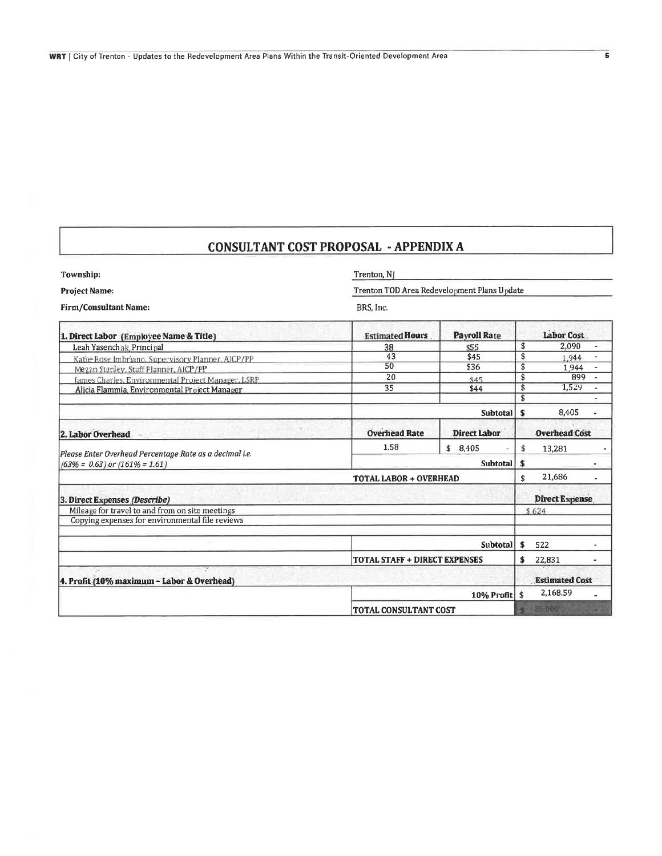| Township:                                               | Trenton, NJ<br>Trenton TOD Area Redevelopment Plans Update |                             |                       |
|---------------------------------------------------------|------------------------------------------------------------|-----------------------------|-----------------------|
| <b>Project Name:</b>                                    |                                                            |                             |                       |
| <b>Firm/Consultant Name:</b>                            | BRS, Inc.                                                  |                             |                       |
| 1. Direct Labor (Employee Name & Title)                 | <b>Estimated Hours</b>                                     | <b>Payroll Rate</b>         | <b>Labor Cost</b>     |
| Leah Yasenchak, Principal                               | 38                                                         | \$55                        | \$<br>2,090           |
| Katie Rose Imbriano, Supervisory Planner, AICP/PP       | 43                                                         | \$45                        | \$<br>1.944           |
| Megan Stanley, Staff Planner, AICP/PP                   | 50                                                         | \$36                        | \$<br>1.944           |
| lames Charles, Environmental Project Manager, LSRP      | 20                                                         | \$45                        | \$<br>899             |
| Alicia Flammia, Environmental Project Manager           | 35                                                         | \$44                        | \$<br>1,529           |
|                                                         |                                                            |                             | \$                    |
|                                                         |                                                            | <b>Subtotal</b>             | 8,405<br>\$           |
| 2. Labor Overhead                                       | <b>Overhead Rate</b>                                       | <b>Direct Labor</b>         | <b>Overhead Cost</b>  |
| Please Enter Overhead Percentage Rate as a decimal i.e. | 1.58                                                       | 8.405<br>\$                 | \$<br>13,281          |
| $(63\% = 0.63)$ or $(161\% = 1.61)$                     |                                                            | <b>Subtotal</b>             | \$                    |
|                                                         | TOTAL LABOR + OVERHEAD                                     |                             | 21,686<br>\$          |
| 3. Direct Expenses (Describe)                           |                                                            |                             | <b>Direct Expense</b> |
| Mileage for travel to and from on site meetings         |                                                            |                             | \$624                 |
| Copying expenses for environmental file reviews         |                                                            |                             |                       |
|                                                         |                                                            | <b>Subtotal</b>             | $\mathbf{s}$<br>522   |
|                                                         | <b>TOTAL STAFF + DIRECT EXPENSES</b>                       |                             | \$<br>22,831          |
| 72.<br>4. Profit (10% maximum - Labor & Overhead)       |                                                            |                             | <b>Estimated Cost</b> |
|                                                         |                                                            | $10\%$ Profit $\frac{1}{5}$ | 2,168.59              |
|                                                         | TOTAL CONSULTANT COST                                      |                             | $\sim 25000$          |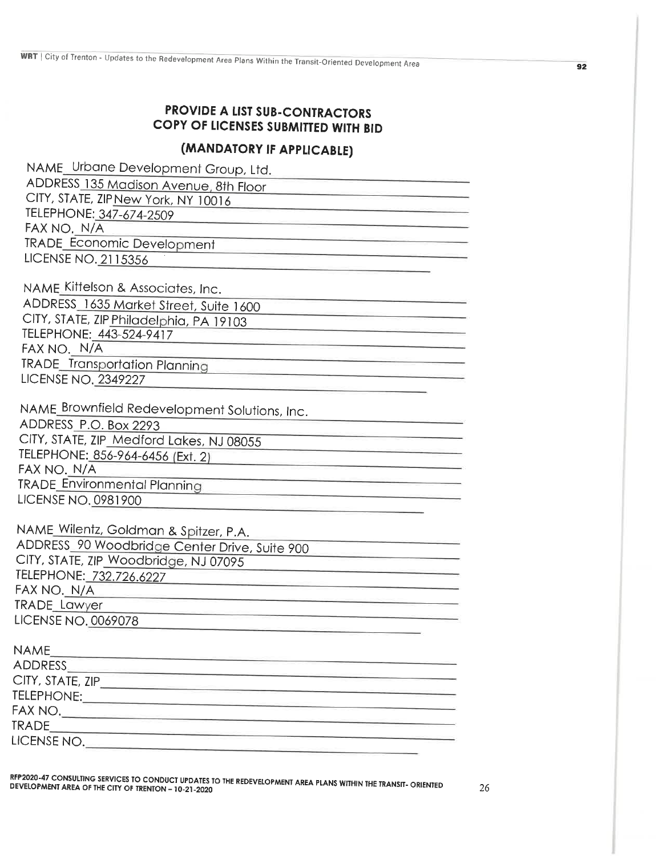### **PROVIDE A LIST SUB-CONTRACTORS** COPY OF LICENSES SUBMITTED WITH BID

## (MANDATORY IF APPLICABLE)

RFP2020-47 CONSULTING SERVICES TO CONDUCT UPDATES TO THE REDEVELOPMENT AREA PLANS WITHIN THE TRANSIT-ORIENTED DEVELOPMENT AREA OF THE CITY OF TRENTON - 10-21-2020